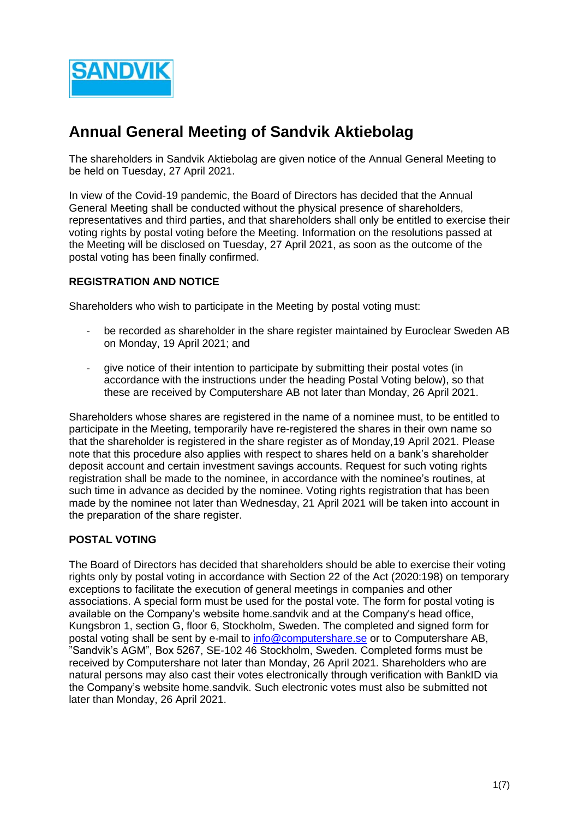

# **Annual General Meeting of Sandvik Aktiebolag**

The shareholders in Sandvik Aktiebolag are given notice of the Annual General Meeting to be held on Tuesday, 27 April 2021.

In view of the Covid-19 pandemic, the Board of Directors has decided that the Annual General Meeting shall be conducted without the physical presence of shareholders, representatives and third parties, and that shareholders shall only be entitled to exercise their voting rights by postal voting before the Meeting. Information on the resolutions passed at the Meeting will be disclosed on Tuesday, 27 April 2021, as soon as the outcome of the postal voting has been finally confirmed.

## **REGISTRATION AND NOTICE**

Shareholders who wish to participate in the Meeting by postal voting must:

- be recorded as shareholder in the share register maintained by Euroclear Sweden AB on Monday, 19 April 2021; and
- give notice of their intention to participate by submitting their postal votes (in accordance with the instructions under the heading Postal Voting below), so that these are received by Computershare AB not later than Monday, 26 April 2021.

Shareholders whose shares are registered in the name of a nominee must, to be entitled to participate in the Meeting, temporarily have re-registered the shares in their own name so that the shareholder is registered in the share register as of Monday,19 April 2021. Please note that this procedure also applies with respect to shares held on a bank's shareholder deposit account and certain investment savings accounts. Request for such voting rights registration shall be made to the nominee, in accordance with the nominee's routines, at such time in advance as decided by the nominee. Voting rights registration that has been made by the nominee not later than Wednesday, 21 April 2021 will be taken into account in the preparation of the share register.

### **POSTAL VOTING**

The Board of Directors has decided that shareholders should be able to exercise their voting rights only by postal voting in accordance with Section 22 of the Act (2020:198) on temporary exceptions to facilitate the execution of general meetings in companies and other associations. A special form must be used for the postal vote. The form for postal voting is available on the Company's website home.sandvik and at the Company's head office, Kungsbron 1, section G, floor 6, Stockholm, Sweden. The completed and signed form for postal voting shall be sent by e-mail to [info@computershare.se](mailto:info@computershare.se) or to Computershare AB, "Sandvik's AGM", Box 5267, SE-102 46 Stockholm, Sweden. Completed forms must be received by Computershare not later than Monday, 26 April 2021. Shareholders who are natural persons may also cast their votes electronically through verification with BankID via the Company's website home.sandvik. Such electronic votes must also be submitted not later than Monday, 26 April 2021.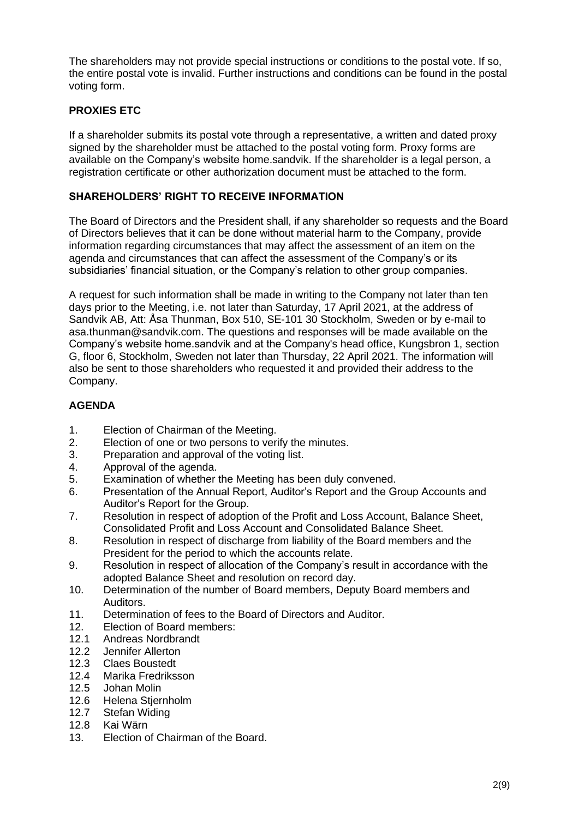The shareholders may not provide special instructions or conditions to the postal vote. If so, the entire postal vote is invalid. Further instructions and conditions can be found in the postal voting form.

# **PROXIES ETC**

If a shareholder submits its postal vote through a representative, a written and dated proxy signed by the shareholder must be attached to the postal voting form. Proxy forms are available on the Company's website home.sandvik. If the shareholder is a legal person, a registration certificate or other authorization document must be attached to the form.

## **SHAREHOLDERS' RIGHT TO RECEIVE INFORMATION**

The Board of Directors and the President shall, if any shareholder so requests and the Board of Directors believes that it can be done without material harm to the Company, provide information regarding circumstances that may affect the assessment of an item on the agenda and circumstances that can affect the assessment of the Company's or its subsidiaries' financial situation, or the Company's relation to other group companies.

A request for such information shall be made in writing to the Company not later than ten days prior to the Meeting, i.e. not later than Saturday, 17 April 2021, at the address of Sandvik AB, Att: Åsa Thunman, Box 510, SE-101 30 Stockholm, Sweden or by e-mail to asa.thunman@sandvik.com. The questions and responses will be made available on the Company's website home.sandvik and at the Company's head office, Kungsbron 1, section G, floor 6, Stockholm, Sweden not later than Thursday, 22 April 2021. The information will also be sent to those shareholders who requested it and provided their address to the Company.

# **AGENDA**

- 1. Election of Chairman of the Meeting.
- 2. Election of one or two persons to verify the minutes.
- 3. Preparation and approval of the voting list.
- 4. Approval of the agenda.
- 5. Examination of whether the Meeting has been duly convened.
- 6. Presentation of the Annual Report, Auditor's Report and the Group Accounts and Auditor's Report for the Group.
- 7. Resolution in respect of adoption of the Profit and Loss Account, Balance Sheet, Consolidated Profit and Loss Account and Consolidated Balance Sheet.
- 8. Resolution in respect of discharge from liability of the Board members and the President for the period to which the accounts relate.
- 9. Resolution in respect of allocation of the Company's result in accordance with the adopted Balance Sheet and resolution on record day.
- 10. Determination of the number of Board members, Deputy Board members and Auditors.
- 11. Determination of fees to the Board of Directors and Auditor.
- 12. Election of Board members:
- 12.1 Andreas Nordbrandt
- 12.2 Jennifer Allerton
- 12.3 Claes Boustedt
- 12.4 Marika Fredriksson
- 12.5 Johan Molin
- 12.6 Helena Stjernholm
- 12.7 Stefan Widing
- 12.8 Kai Wärn
- 13. Election of Chairman of the Board.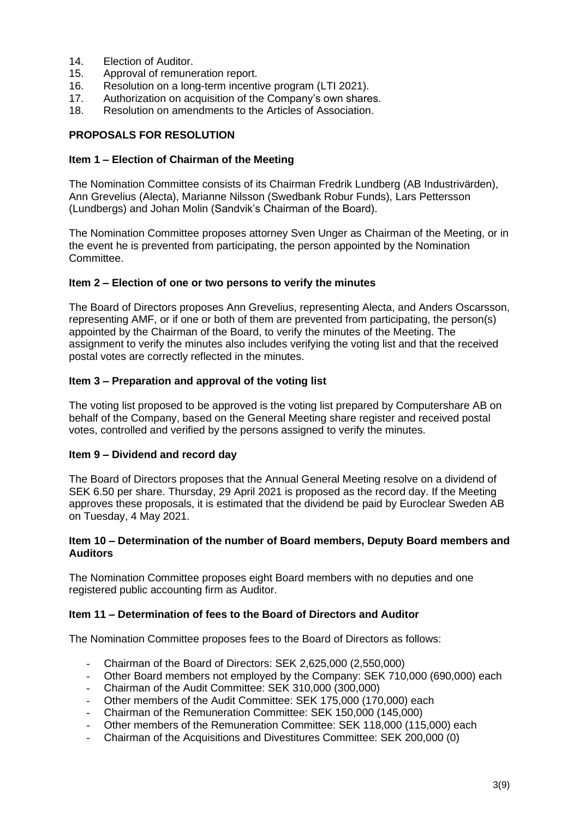- 14. **Election of Auditor**
- 15. Approval of remuneration report.
- 16. Resolution on a long-term incentive program (LTI 2021).
- 17. Authorization on acquisition of the Company's own shares.
- 18. Resolution on amendments to the Articles of Association.

## **PROPOSALS FOR RESOLUTION**

#### **Item 1 – Election of Chairman of the Meeting**

The Nomination Committee consists of its Chairman Fredrik Lundberg (AB Industrivärden), Ann Grevelius (Alecta), Marianne Nilsson (Swedbank Robur Funds), Lars Pettersson (Lundbergs) and Johan Molin (Sandvik's Chairman of the Board).

The Nomination Committee proposes attorney Sven Unger as Chairman of the Meeting, or in the event he is prevented from participating, the person appointed by the Nomination Committee.

#### **Item 2 – Election of one or two persons to verify the minutes**

The Board of Directors proposes Ann Grevelius, representing Alecta, and Anders Oscarsson, representing AMF, or if one or both of them are prevented from participating, the person(s) appointed by the Chairman of the Board, to verify the minutes of the Meeting. The assignment to verify the minutes also includes verifying the voting list and that the received postal votes are correctly reflected in the minutes.

#### **Item 3 – Preparation and approval of the voting list**

The voting list proposed to be approved is the voting list prepared by Computershare AB on behalf of the Company, based on the General Meeting share register and received postal votes, controlled and verified by the persons assigned to verify the minutes.

#### **Item 9 – Dividend and record day**

The Board of Directors proposes that the Annual General Meeting resolve on a dividend of SEK 6.50 per share. Thursday, 29 April 2021 is proposed as the record day. If the Meeting approves these proposals, it is estimated that the dividend be paid by Euroclear Sweden AB on Tuesday, 4 May 2021.

### **Item 10 – Determination of the number of Board members, Deputy Board members and Auditors**

The Nomination Committee proposes eight Board members with no deputies and one registered public accounting firm as Auditor.

## **Item 11 – Determination of fees to the Board of Directors and Auditor**

The Nomination Committee proposes fees to the Board of Directors as follows:

- Chairman of the Board of Directors: SEK 2,625,000 (2,550,000)
- Other Board members not employed by the Company: SEK 710,000 (690,000) each
- Chairman of the Audit Committee: SEK 310,000 (300,000)
- Other members of the Audit Committee: SEK 175,000 (170,000) each
- Chairman of the Remuneration Committee: SEK 150,000 (145,000)
- Other members of the Remuneration Committee: SEK 118,000 (115,000) each
- Chairman of the Acquisitions and Divestitures Committee: SEK 200,000 (0)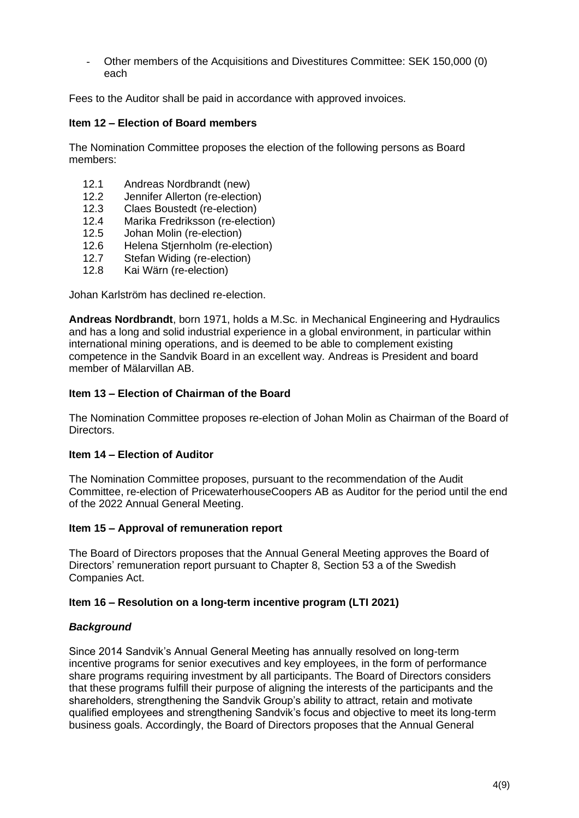- Other members of the Acquisitions and Divestitures Committee: SEK 150,000 (0) each

Fees to the Auditor shall be paid in accordance with approved invoices.

## **Item 12 – Election of Board members**

The Nomination Committee proposes the election of the following persons as Board members:

- 12.1 Andreas Nordbrandt (new)
- 12.2 Jennifer Allerton (re-election)
- 12.3 Claes Boustedt (re-election)
- 12.4 Marika Fredriksson (re-election)
- 12.5 Johan Molin (re-election)
- 12.6 Helena Stjernholm (re-election)
- 12.7 Stefan Widing (re-election)
- 12.8 Kai Wärn (re-election)

Johan Karlström has declined re-election.

**Andreas Nordbrandt**, born 1971, holds a M.Sc. in Mechanical Engineering and Hydraulics and has a long and solid industrial experience in a global environment, in particular within international mining operations, and is deemed to be able to complement existing competence in the Sandvik Board in an excellent way*.* Andreas is President and board member of Mälarvillan AB.

### **Item 13 – Election of Chairman of the Board**

The Nomination Committee proposes re-election of Johan Molin as Chairman of the Board of Directors.

### **Item 14 – Election of Auditor**

The Nomination Committee proposes, pursuant to the recommendation of the Audit Committee, re-election of PricewaterhouseCoopers AB as Auditor for the period until the end of the 2022 Annual General Meeting.

### **Item 15 – Approval of remuneration report**

The Board of Directors proposes that the Annual General Meeting approves the Board of Directors' remuneration report pursuant to Chapter 8, Section 53 a of the Swedish Companies Act.

### **Item 16 – Resolution on a long-term incentive program (LTI 2021)**

### *Background*

Since 2014 Sandvik's Annual General Meeting has annually resolved on long-term incentive programs for senior executives and key employees, in the form of performance share programs requiring investment by all participants. The Board of Directors considers that these programs fulfill their purpose of aligning the interests of the participants and the shareholders, strengthening the Sandvik Group's ability to attract, retain and motivate qualified employees and strengthening Sandvik's focus and objective to meet its long-term business goals. Accordingly, the Board of Directors proposes that the Annual General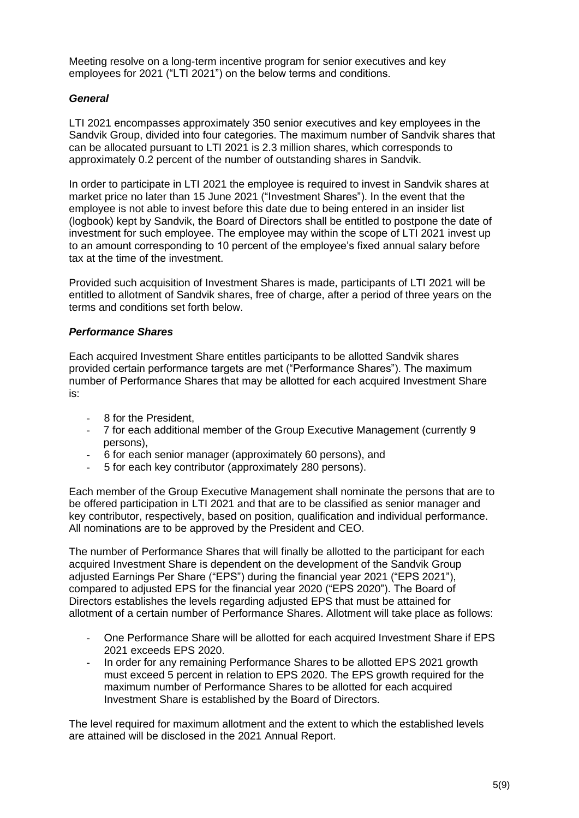Meeting resolve on a long-term incentive program for senior executives and key employees for 2021 ("LTI 2021") on the below terms and conditions.

## *General*

LTI 2021 encompasses approximately 350 senior executives and key employees in the Sandvik Group, divided into four categories. The maximum number of Sandvik shares that can be allocated pursuant to LTI 2021 is 2.3 million shares, which corresponds to approximately 0.2 percent of the number of outstanding shares in Sandvik.

In order to participate in LTI 2021 the employee is required to invest in Sandvik shares at market price no later than 15 June 2021 ("Investment Shares"). In the event that the employee is not able to invest before this date due to being entered in an insider list (logbook) kept by Sandvik, the Board of Directors shall be entitled to postpone the date of investment for such employee. The employee may within the scope of LTI 2021 invest up to an amount corresponding to 10 percent of the employee's fixed annual salary before tax at the time of the investment.

Provided such acquisition of Investment Shares is made, participants of LTI 2021 will be entitled to allotment of Sandvik shares, free of charge, after a period of three years on the terms and conditions set forth below.

## *Performance Shares*

Each acquired Investment Share entitles participants to be allotted Sandvik shares provided certain performance targets are met ("Performance Shares"). The maximum number of Performance Shares that may be allotted for each acquired Investment Share is:

- 8 for the President,
- 7 for each additional member of the Group Executive Management (currently 9 persons),
- 6 for each senior manager (approximately 60 persons), and
- 5 for each key contributor (approximately 280 persons).

Each member of the Group Executive Management shall nominate the persons that are to be offered participation in LTI 2021 and that are to be classified as senior manager and key contributor, respectively, based on position, qualification and individual performance. All nominations are to be approved by the President and CEO.

The number of Performance Shares that will finally be allotted to the participant for each acquired Investment Share is dependent on the development of the Sandvik Group adjusted Earnings Per Share ("EPS") during the financial year 2021 ("EPS 2021"), compared to adjusted EPS for the financial year 2020 ("EPS 2020"). The Board of Directors establishes the levels regarding adjusted EPS that must be attained for allotment of a certain number of Performance Shares. Allotment will take place as follows:

- One Performance Share will be allotted for each acquired Investment Share if EPS 2021 exceeds EPS 2020.
- In order for any remaining Performance Shares to be allotted EPS 2021 growth must exceed 5 percent in relation to EPS 2020. The EPS growth required for the maximum number of Performance Shares to be allotted for each acquired Investment Share is established by the Board of Directors.

The level required for maximum allotment and the extent to which the established levels are attained will be disclosed in the 2021 Annual Report.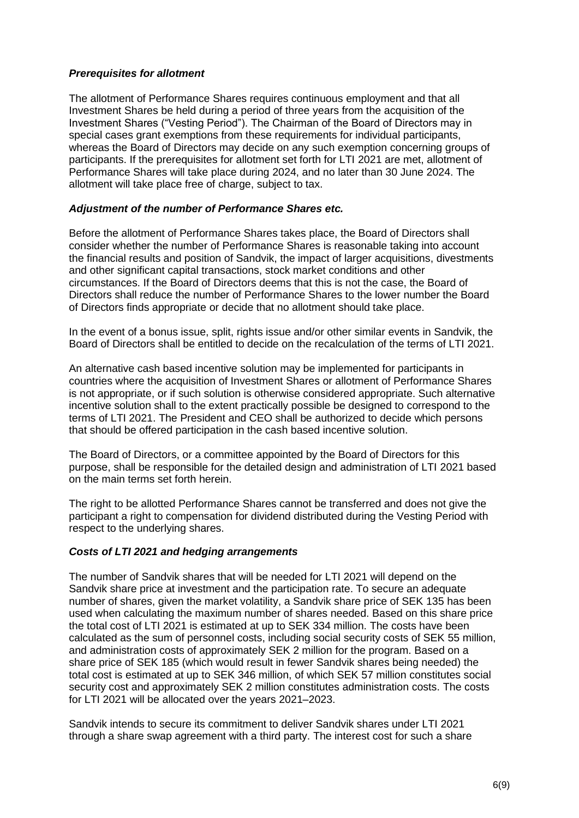## *Prerequisites for allotment*

The allotment of Performance Shares requires continuous employment and that all Investment Shares be held during a period of three years from the acquisition of the Investment Shares ("Vesting Period"). The Chairman of the Board of Directors may in special cases grant exemptions from these requirements for individual participants, whereas the Board of Directors may decide on any such exemption concerning groups of participants. If the prerequisites for allotment set forth for LTI 2021 are met, allotment of Performance Shares will take place during 2024, and no later than 30 June 2024. The allotment will take place free of charge, subject to tax.

## *Adjustment of the number of Performance Shares etc.*

Before the allotment of Performance Shares takes place, the Board of Directors shall consider whether the number of Performance Shares is reasonable taking into account the financial results and position of Sandvik, the impact of larger acquisitions, divestments and other significant capital transactions, stock market conditions and other circumstances. If the Board of Directors deems that this is not the case, the Board of Directors shall reduce the number of Performance Shares to the lower number the Board of Directors finds appropriate or decide that no allotment should take place.

In the event of a bonus issue, split, rights issue and/or other similar events in Sandvik, the Board of Directors shall be entitled to decide on the recalculation of the terms of LTI 2021.

An alternative cash based incentive solution may be implemented for participants in countries where the acquisition of Investment Shares or allotment of Performance Shares is not appropriate, or if such solution is otherwise considered appropriate. Such alternative incentive solution shall to the extent practically possible be designed to correspond to the terms of LTI 2021. The President and CEO shall be authorized to decide which persons that should be offered participation in the cash based incentive solution.

The Board of Directors, or a committee appointed by the Board of Directors for this purpose, shall be responsible for the detailed design and administration of LTI 2021 based on the main terms set forth herein.

The right to be allotted Performance Shares cannot be transferred and does not give the participant a right to compensation for dividend distributed during the Vesting Period with respect to the underlying shares.

### *Costs of LTI 2021 and hedging arrangements*

The number of Sandvik shares that will be needed for LTI 2021 will depend on the Sandvik share price at investment and the participation rate. To secure an adequate number of shares, given the market volatility, a Sandvik share price of SEK 135 has been used when calculating the maximum number of shares needed. Based on this share price the total cost of LTI 2021 is estimated at up to SEK 334 million. The costs have been calculated as the sum of personnel costs, including social security costs of SEK 55 million, and administration costs of approximately SEK 2 million for the program. Based on a share price of SEK 185 (which would result in fewer Sandvik shares being needed) the total cost is estimated at up to SEK 346 million, of which SEK 57 million constitutes social security cost and approximately SEK 2 million constitutes administration costs. The costs for LTI 2021 will be allocated over the years 2021–2023.

Sandvik intends to secure its commitment to deliver Sandvik shares under LTI 2021 through a share swap agreement with a third party. The interest cost for such a share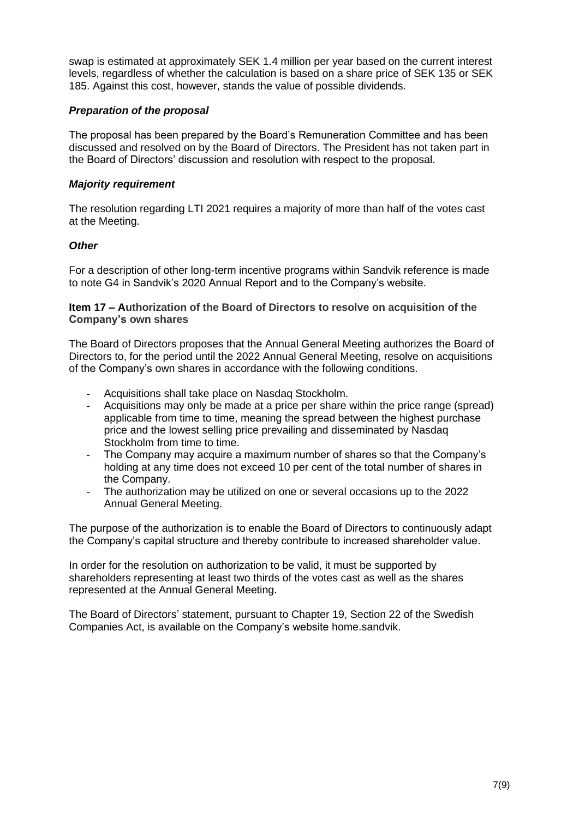swap is estimated at approximately SEK 1.4 million per year based on the current interest levels, regardless of whether the calculation is based on a share price of SEK 135 or SEK 185. Against this cost, however, stands the value of possible dividends.

## *Preparation of the proposal*

The proposal has been prepared by the Board's Remuneration Committee and has been discussed and resolved on by the Board of Directors. The President has not taken part in the Board of Directors' discussion and resolution with respect to the proposal.

## *Majority requirement*

The resolution regarding LTI 2021 requires a majority of more than half of the votes cast at the Meeting.

## *Other*

For a description of other long-term incentive programs within Sandvik reference is made to note G4 in Sandvik's 2020 Annual Report and to the Company's website.

**Item 17 – Authorization of the Board of Directors to resolve on acquisition of the Company's own shares**

The Board of Directors proposes that the Annual General Meeting authorizes the Board of Directors to, for the period until the 2022 Annual General Meeting, resolve on acquisitions of the Company's own shares in accordance with the following conditions.

- Acquisitions shall take place on Nasdaq Stockholm.
- Acquisitions may only be made at a price per share within the price range (spread) applicable from time to time, meaning the spread between the highest purchase price and the lowest selling price prevailing and disseminated by Nasdaq Stockholm from time to time.
- The Company may acquire a maximum number of shares so that the Company's holding at any time does not exceed 10 per cent of the total number of shares in the Company.
- The authorization may be utilized on one or several occasions up to the 2022 Annual General Meeting.

The purpose of the authorization is to enable the Board of Directors to continuously adapt the Company's capital structure and thereby contribute to increased shareholder value.

In order for the resolution on authorization to be valid, it must be supported by shareholders representing at least two thirds of the votes cast as well as the shares represented at the Annual General Meeting.

The Board of Directors' statement, pursuant to Chapter 19, Section 22 of the Swedish Companies Act, is available on the Company's website [home.sandvik.](http://www.sandvik.com/en)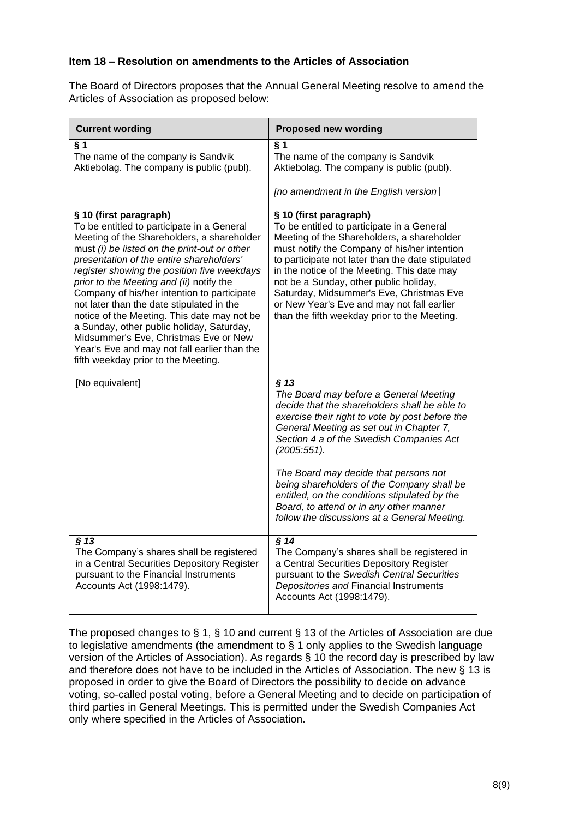# **Item 18 – Resolution on amendments to the Articles of Association**

The Board of Directors proposes that the Annual General Meeting resolve to amend the Articles of Association as proposed below:

| <b>Current wording</b>                                                                                                                                                                                                                                                                                                                                                                                                                                                                                                                                                                                                            | <b>Proposed new wording</b>                                                                                                                                                                                                                                                                                                                                                                                                                                |
|-----------------------------------------------------------------------------------------------------------------------------------------------------------------------------------------------------------------------------------------------------------------------------------------------------------------------------------------------------------------------------------------------------------------------------------------------------------------------------------------------------------------------------------------------------------------------------------------------------------------------------------|------------------------------------------------------------------------------------------------------------------------------------------------------------------------------------------------------------------------------------------------------------------------------------------------------------------------------------------------------------------------------------------------------------------------------------------------------------|
| $§$ 1<br>The name of the company is Sandvik<br>Aktiebolag. The company is public (publ).                                                                                                                                                                                                                                                                                                                                                                                                                                                                                                                                          | $§$ 1<br>The name of the company is Sandvik<br>Aktiebolag. The company is public (publ).<br>[no amendment in the English version]                                                                                                                                                                                                                                                                                                                          |
| § 10 (first paragraph)<br>To be entitled to participate in a General<br>Meeting of the Shareholders, a shareholder<br>must (i) be listed on the print-out or other<br>presentation of the entire shareholders'<br>register showing the position five weekdays<br>prior to the Meeting and (ii) notify the<br>Company of his/her intention to participate<br>not later than the date stipulated in the<br>notice of the Meeting. This date may not be<br>a Sunday, other public holiday, Saturday,<br>Midsummer's Eve, Christmas Eve or New<br>Year's Eve and may not fall earlier than the<br>fifth weekday prior to the Meeting. | § 10 (first paragraph)<br>To be entitled to participate in a General<br>Meeting of the Shareholders, a shareholder<br>must notify the Company of his/her intention<br>to participate not later than the date stipulated<br>in the notice of the Meeting. This date may<br>not be a Sunday, other public holiday,<br>Saturday, Midsummer's Eve, Christmas Eve<br>or New Year's Eve and may not fall earlier<br>than the fifth weekday prior to the Meeting. |
| [No equivalent]                                                                                                                                                                                                                                                                                                                                                                                                                                                                                                                                                                                                                   | $§$ 13<br>The Board may before a General Meeting<br>decide that the shareholders shall be able to<br>exercise their right to vote by post before the<br>General Meeting as set out in Chapter 7,<br>Section 4 a of the Swedish Companies Act<br>$(2005:551)$ .                                                                                                                                                                                             |
|                                                                                                                                                                                                                                                                                                                                                                                                                                                                                                                                                                                                                                   | The Board may decide that persons not<br>being shareholders of the Company shall be<br>entitled, on the conditions stipulated by the<br>Board, to attend or in any other manner<br>follow the discussions at a General Meeting.                                                                                                                                                                                                                            |
| § 13<br>The Company's shares shall be registered<br>in a Central Securities Depository Register<br>pursuant to the Financial Instruments<br>Accounts Act (1998:1479).                                                                                                                                                                                                                                                                                                                                                                                                                                                             | § 14<br>The Company's shares shall be registered in<br>a Central Securities Depository Register<br>pursuant to the Swedish Central Securities<br>Depositories and Financial Instruments<br>Accounts Act (1998:1479).                                                                                                                                                                                                                                       |

The proposed changes to § 1, § 10 and current § 13 of the Articles of Association are due to legislative amendments (the amendment to § 1 only applies to the Swedish language version of the Articles of Association). As regards § 10 the record day is prescribed by law and therefore does not have to be included in the Articles of Association. The new § 13 is proposed in order to give the Board of Directors the possibility to decide on advance voting, so-called postal voting, before a General Meeting and to decide on participation of third parties in General Meetings. This is permitted under the Swedish Companies Act only where specified in the Articles of Association.